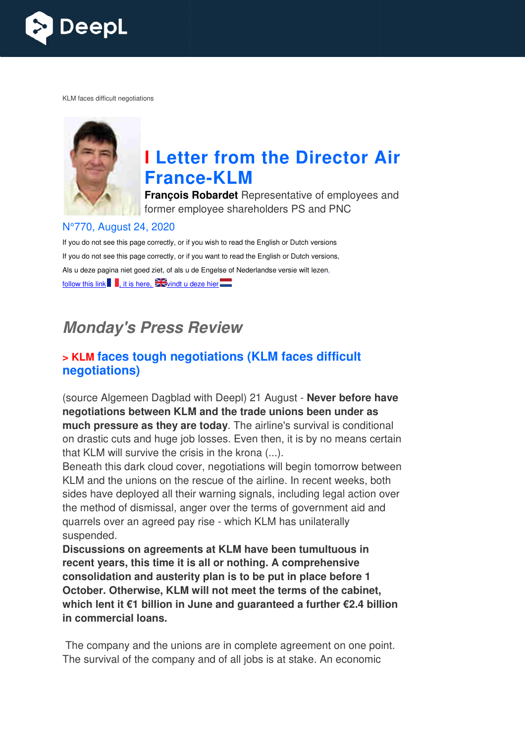

KLM faces difficult negotiations



# **I Letter from the Director Air France France-KLM**

**François Robardet** Representative of employees and former employee shareholders PS and PNC

#### N°770, August 24, 2020

If you do not see this page correctly, or if you wish to read the English or Dutch versions If you do not see this page correctly, or if you want to read the English or Dutch versions, Als u deze pagina niet goed ziet, of als u de Engelse of Nederlandse versie wilt lezen, follow this link , it is here,  $\frac{1}{2}$  windt u deze hier

## **Monday's Press Review**

### **> KLM faces tough negotiations (KLM faces difficult negotiations)**

(source Algemeen Dagblad with Deepl) 21 August - **Never before have negotiations between KLM and the trade unions been under as much pressure as they are today** . The airline's survival is conditional on drastic cuts and huge job losses. Even then, it is by no means certain that KLM will survive the crisis in the krona (...).

Beneath this dark cloud cover, negotiations will begin tomorrow between KLM and the unions on the rescue of the airline. In recent weeks, both sides have deployed all their warning signals, including legal action over the method of dismissal, anger over the terms of government aid and quarrels over an agreed pay rise - which KLM has unilaterally suspended.

**Discussions on agreements at KLM have been tumultuous in recent years, this time it is all or nothing. A comprehensive consolidation and austerity plan is to be put in place before 1 October. Otherwise, KLM will not meet the terms of the cabinet, which lent it €1 billion in June and guaranteed a further €2.4 billion in commercial loans.** 

The company and the unions are in complete agreement on one point. The survival of the company and of all jobs is at stake. An economic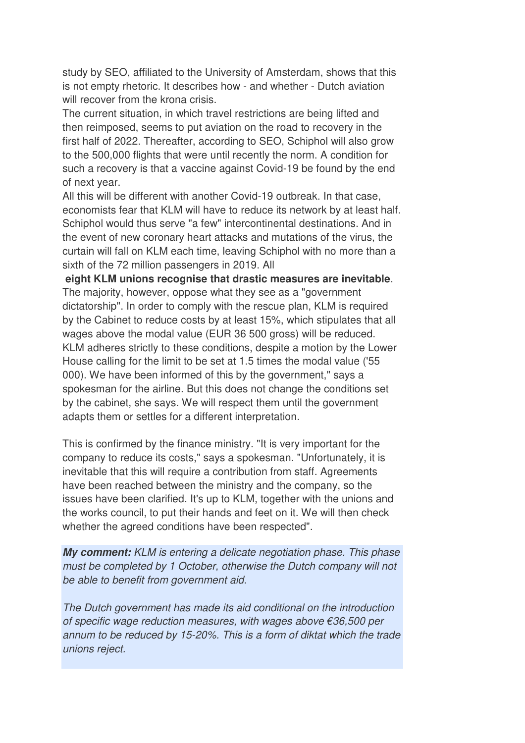study by SEO, affiliated to the University of Amsterdam, shows that this is not empty rhetoric. It describes how - and whether - Dutch aviation will recover from the krona crisis.

The current situation, in which travel restrictions are being lifted and then reimposed, seems to put aviation on the road to recovery in the first half of 2022. Thereafter, according to SEO, Schiphol will also grow to the 500,000 flights that were until recently the norm. A condition for such a recovery is that a vaccine against Covid-19 be found by the end of next year.

All this will be different with another Covid-19 outbreak. In that case, economists fear that KLM will have to reduce its network by at least half. Schiphol would thus serve "a few" intercontinental destinations. And in the event of new coronary heart attacks and mutations of the virus, the curtain will fall on KLM each time, leaving Schiphol with no more than a sixth of the 72 million passengers in 2019. All

 **eight KLM unions recognise that drastic measures are inevitable**. The majority, however, oppose what they see as a "government dictatorship". In order to comply with the rescue plan, KLM is required by the Cabinet to reduce costs by at least 15%, which stipulates that all wages above the modal value (EUR 36 500 gross) will be reduced. KLM adheres strictly to these conditions, despite a motion by the Lower House calling for the limit to be set at 1.5 times the modal value ('55 000). We have been informed of this by the government," says a spokesman for the airline. But this does not change the conditions set by the cabinet, she says. We will respect them until the government adapts them or settles for a different interpretation.

This is confirmed by the finance ministry. "It is very important for the company to reduce its costs," says a spokesman. "Unfortunately, it is inevitable that this will require a contribution from staff. Agreements have been reached between the ministry and the company, so the issues have been clarified. It's up to KLM, together with the unions and the works council, to put their hands and feet on it. We will then check whether the agreed conditions have been respected".

**My comment:** KLM is entering a delicate negotiation phase. This phase must be completed by 1 October, otherwise the Dutch company will not be able to benefit from government aid.

The Dutch government has made its aid conditional on the introduction of specific wage reduction measures, with wages above €36,500 per annum to be reduced by 15-20%. This is a form of diktat which the trade unions reject.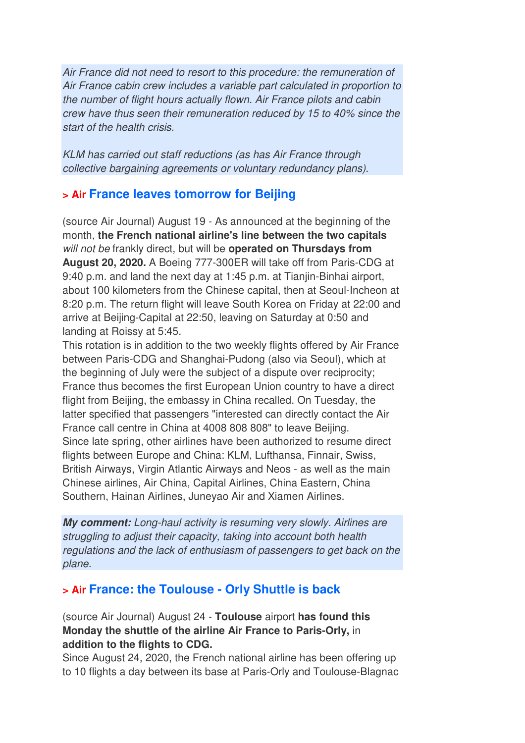Air France did not need to resort to this procedure: the remuneration of Air France cabin crew includes a variable part calculated in proportion to the number of flight hours actually flown. Air France pilots and cabin crew have thus seen their remuneration reduced by 15 to 40% since the start of the health crisis.

KLM has carried out staff reductions (as has Air France through collective bargaining agreements or voluntary redundancy plans).

## **> Air France leaves tomorrow for Beijing**

(source Air Journal) August 19 - As announced at the beginning of the month, **the French national airline's line between the two capitals** will not be frankly direct, but will be **operated on Thursdays from August 20, 2020.** A Boeing 777-300ER will take off from Paris-CDG at 9:40 p.m. and land the next day at 1:45 p.m. at Tianjin-Binhai airport, about 100 kilometers from the Chinese capital, then at Seoul-Incheon at 8:20 p.m. The return flight will leave South Korea on Friday at 22:00 and arrive at Beijing-Capital at 22:50, leaving on Saturday at 0:50 and landing at Roissy at 5:45.

This rotation is in addition to the two weekly flights offered by Air France between Paris-CDG and Shanghai-Pudong (also via Seoul), which at the beginning of July were the subject of a dispute over reciprocity; France thus becomes the first European Union country to have a direct flight from Beijing, the embassy in China recalled. On Tuesday, the latter specified that passengers "interested can directly contact the Air France call centre in China at 4008 808 808" to leave Beijing. Since late spring, other airlines have been authorized to resume direct flights between Europe and China: KLM, Lufthansa, Finnair, Swiss, British Airways, Virgin Atlantic Airways and Neos - as well as the main Chinese airlines, Air China, Capital Airlines, China Eastern, China Southern, Hainan Airlines, Juneyao Air and Xiamen Airlines.

**My comment:** Long-haul activity is resuming very slowly. Airlines are struggling to adjust their capacity, taking into account both health regulations and the lack of enthusiasm of passengers to get back on the plane.

## **> Air France: the Toulouse - Orly Shuttle is back**

### (source Air Journal) August 24 - **Toulouse** airport **has found this Monday the shuttle of the airline Air France to Paris-Orly,** in **addition to the flights to CDG.**

Since August 24, 2020, the French national airline has been offering up to 10 flights a day between its base at Paris-Orly and Toulouse-Blagnac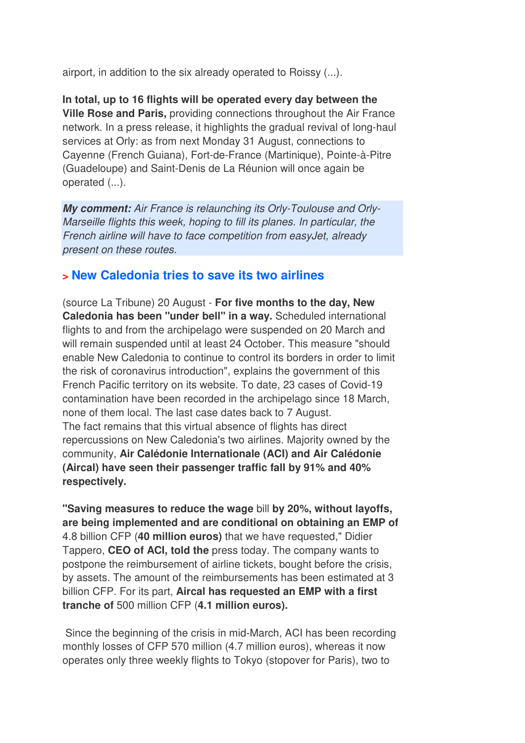airport, in addition to the six already operated to Roissy (...).

**In total, up to 16 flights will be operated every day between the Ville Rose and Paris,** providing connections throughout the Air France network. In a press release, it highlights the gradual revival of long-haul services at Orly: as from next Monday 31 August, connections to Cayenne (French Guiana), Fort-de-France (Martinique), Pointe-à-Pitre (Guadeloupe) and Saint-Denis de La Réunion will once again be operated (...).

**My comment:** Air France is relaunching its Orly-Toulouse and Orly-Marseille flights this week, hoping to fill its planes. In particular, the French airline will have to face competition from easyJet, already present on these routes.

### **> New Caledonia tries to save its two airlines**

(source La Tribune) 20 August - **For five months to the day, New Caledonia has been "under bell" in a way.** Scheduled international flights to and from the archipelago were suspended on 20 March and will remain suspended until at least 24 October. This measure "should enable New Caledonia to continue to control its borders in order to limit the risk of coronavirus introduction", explains the government of this French Pacific territory on its website. To date, 23 cases of Covid-19 contamination have been recorded in the archipelago since 18 March, none of them local. The last case dates back to 7 August. The fact remains that this virtual absence of flights has direct repercussions on New Caledonia's two airlines. Majority owned by the community, **Air Calédonie Internationale (ACI) and Air Calédonie (Aircal) have seen their passenger traffic fall by 91% and 40% respectively.** 

**"Saving measures to reduce the wage** bill **by 20%, without layoffs, are being implemented and are conditional on obtaining an EMP of**  4.8 billion CFP (**40 million euros)** that we have requested," Didier Tappero, **CEO of ACI, told the** press today. The company wants to postpone the reimbursement of airline tickets, bought before the crisis, by assets. The amount of the reimbursements has been estimated at 3 billion CFP. For its part, **Aircal has requested an EMP with a first tranche of** 500 million CFP (**4.1 million euros).** 

 Since the beginning of the crisis in mid-March, ACI has been recording monthly losses of CFP 570 million (4.7 million euros), whereas it now operates only three weekly flights to Tokyo (stopover for Paris), two to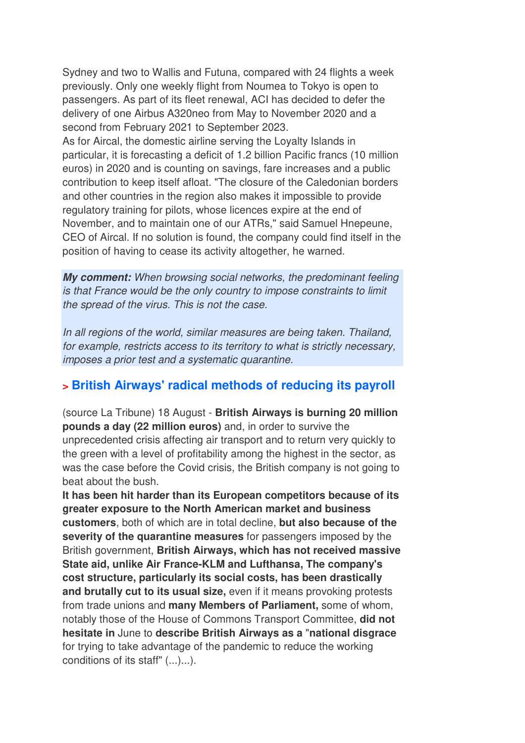Sydney and two to Wallis and Futuna, compared with 24 flights a week previously. Only one weekly flight from Noumea to Tokyo is open to passengers. As part of its fleet renewal, ACI has decided to defer the delivery of one Airbus A320neo from May to November 2020 and a second from February 2021 to September 2023.

As for Aircal, the domestic airline serving the Loyalty Islands in particular, it is forecasting a deficit of 1.2 billion Pacific francs (10 million euros) in 2020 and is counting on savings, fare increases and a public contribution to keep itself afloat. "The closure of the Caledonian borders and other countries in the region also makes it impossible to provide regulatory training for pilots, whose licences expire at the end of November, and to maintain one of our ATRs," said Samuel Hnepeune, CEO of Aircal. If no solution is found, the company could find itself in the position of having to cease its activity altogether, he warned.

**My comment:** When browsing social networks, the predominant feeling is that France would be the only country to impose constraints to limit the spread of the virus. This is not the case.

In all regions of the world, similar measures are being taken. Thailand, for example, restricts access to its territory to what is strictly necessary, imposes a prior test and a systematic quarantine.

## **> British Airways' radical methods of reducing its payroll**

(source La Tribune) 18 August - **British Airways is burning 20 million pounds a day (22 million euros)** and, in order to survive the unprecedented crisis affecting air transport and to return very quickly to the green with a level of profitability among the highest in the sector, as was the case before the Covid crisis, the British company is not going to beat about the bush.

**It has been hit harder than its European competitors because of its greater exposure to the North American market and business customers**, both of which are in total decline, **but also because of the severity of the quarantine measures** for passengers imposed by the British government, **British Airways, which has not received massive State aid, unlike Air France-KLM and Lufthansa, The company's cost structure, particularly its social costs, has been drastically and brutally cut to its usual size,** even if it means provoking protests from trade unions and **many Members of Parliament,** some of whom, notably those of the House of Commons Transport Committee, **did not hesitate in** June to **describe British Airways as a** "**national disgrace** for trying to take advantage of the pandemic to reduce the working conditions of its staff" (...)...).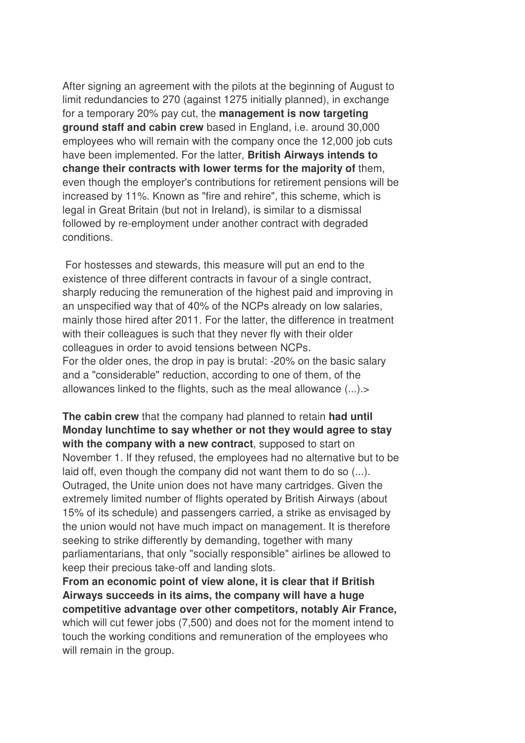After signing an agreement with the pilots at the beginning of August to limit redundancies to 270 (against 1275 initially planned), in exchange for a temporary 20% pay cut, the **management is now targeting ground staff and cabin crew** based in England, i.e. around 30,000 employees who will remain with the company once the 12,000 job cuts have been implemented. For the latter, **British Airways intends to change their contracts with lower terms for the majority of** them, even though the employer's contributions for retirement pensions will be increased by 11%. Known as "fire and rehire", this scheme, which is legal in Great Britain (but not in Ireland), is similar to a dismissal followed by re-employment under another contract with degraded conditions.

 For hostesses and stewards, this measure will put an end to the existence of three different contracts in favour of a single contract, sharply reducing the remuneration of the highest paid and improving in an unspecified way that of 40% of the NCPs already on low salaries, mainly those hired after 2011. For the latter, the difference in treatment with their colleagues is such that they never fly with their older colleagues in order to avoid tensions between NCPs. For the older ones, the drop in pay is brutal: -20% on the basic salary and a "considerable" reduction, according to one of them, of the allowances linked to the flights, such as the meal allowance (...).>

**The cabin crew** that the company had planned to retain **had until Monday lunchtime to say whether or not they would agree to stay with the company with a new contract**, supposed to start on November 1. If they refused, the employees had no alternative but to be laid off, even though the company did not want them to do so (...). Outraged, the Unite union does not have many cartridges. Given the extremely limited number of flights operated by British Airways (about 15% of its schedule) and passengers carried, a strike as envisaged by the union would not have much impact on management. It is therefore seeking to strike differently by demanding, together with many parliamentarians, that only "socially responsible" airlines be allowed to keep their precious take-off and landing slots.

**From an economic point of view alone, it is clear that if British Airways succeeds in its aims, the company will have a huge competitive advantage over other competitors, notably Air France,** which will cut fewer jobs (7,500) and does not for the moment intend to touch the working conditions and remuneration of the employees who will remain in the group.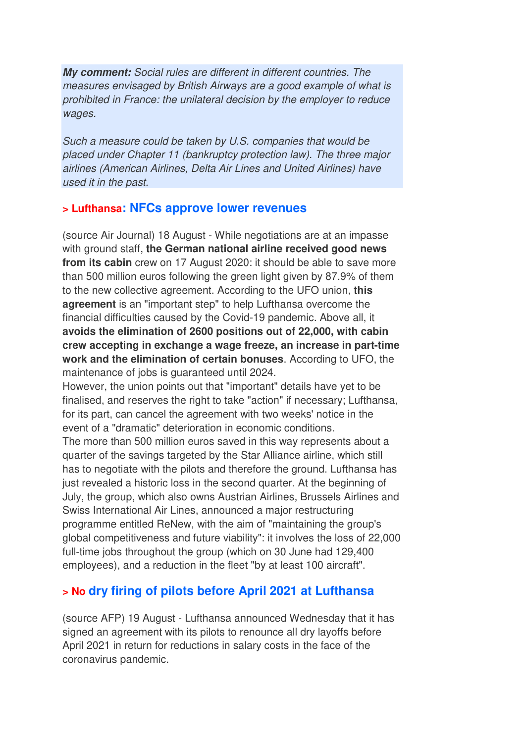**My comment:** Social rules are different in different countries. The measures envisaged by British Airways are a good example of what is prohibited in France: the unilateral decision by the employer to reduce wages.

Such a measure could be taken by U.S. companies that would be placed under Chapter 11 (bankruptcy protection law). The three major airlines (American Airlines, Delta Air Lines and United Airlines) have used it in the past.

### **> Lufthansa: NFCs approve lower revenues**

(source Air Journal) 18 August - While negotiations are at an impasse with ground staff, **the German national airline received good news from its cabin** crew on 17 August 2020: it should be able to save more than 500 million euros following the green light given by 87.9% of them to the new collective agreement. According to the UFO union, **this agreement** is an "important step" to help Lufthansa overcome the financial difficulties caused by the Covid-19 pandemic. Above all, it **avoids the elimination of 2600 positions out of 22,000, with cabin crew accepting in exchange a wage freeze, an increase in part-time work and the elimination of certain bonuses**. According to UFO, the maintenance of jobs is guaranteed until 2024.

However, the union points out that "important" details have yet to be finalised, and reserves the right to take "action" if necessary; Lufthansa, for its part, can cancel the agreement with two weeks' notice in the event of a "dramatic" deterioration in economic conditions.

The more than 500 million euros saved in this way represents about a quarter of the savings targeted by the Star Alliance airline, which still has to negotiate with the pilots and therefore the ground. Lufthansa has just revealed a historic loss in the second quarter. At the beginning of July, the group, which also owns Austrian Airlines, Brussels Airlines and Swiss International Air Lines, announced a major restructuring programme entitled ReNew, with the aim of "maintaining the group's global competitiveness and future viability": it involves the loss of 22,000 full-time jobs throughout the group (which on 30 June had 129,400 employees), and a reduction in the fleet "by at least 100 aircraft".

## **> No dry firing of pilots before April 2021 at Lufthansa**

(source AFP) 19 August - Lufthansa announced Wednesday that it has signed an agreement with its pilots to renounce all dry layoffs before April 2021 in return for reductions in salary costs in the face of the coronavirus pandemic.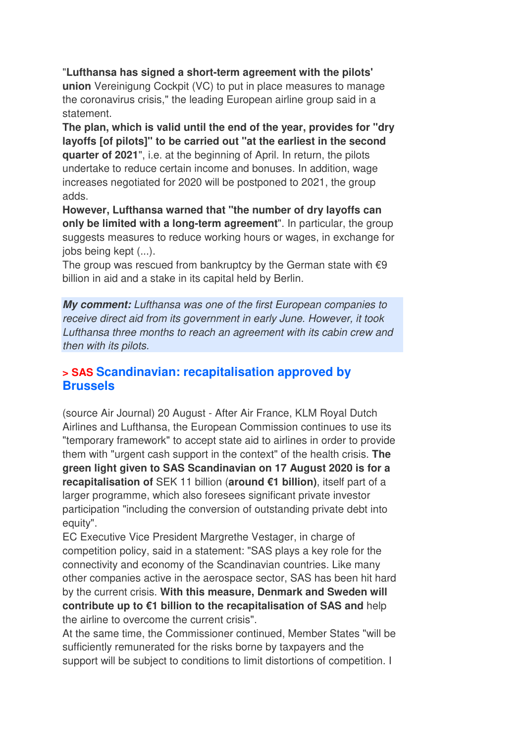"**Lufthansa has signed a short-term agreement with the pilots' union** Vereinigung Cockpit (VC) to put in place measures to manage the coronavirus crisis," the leading European airline group said in a statement.

**The plan, which is valid until the end of the year, provides for "dry layoffs [of pilots]" to be carried out "at the earliest in the second quarter of 2021**", i.e. at the beginning of April. In return, the pilots undertake to reduce certain income and bonuses. In addition, wage increases negotiated for 2020 will be postponed to 2021, the group adds.

**However, Lufthansa warned that "the number of dry layoffs can only be limited with a long-term agreement**". In particular, the group suggests measures to reduce working hours or wages, in exchange for jobs being kept (...).

The group was rescued from bankruptcy by the German state with  $\epsilon$ 9 billion in aid and a stake in its capital held by Berlin.

**My comment:** Lufthansa was one of the first European companies to receive direct aid from its government in early June. However, it took Lufthansa three months to reach an agreement with its cabin crew and then with its pilots.

### **> SAS Scandinavian: recapitalisation approved by Brussels**

(source Air Journal) 20 August - After Air France, KLM Royal Dutch Airlines and Lufthansa, the European Commission continues to use its "temporary framework" to accept state aid to airlines in order to provide them with "urgent cash support in the context" of the health crisis. **The green light given to SAS Scandinavian on 17 August 2020 is for a recapitalisation of** SEK 11 billion (**around €1 billion)**, itself part of a larger programme, which also foresees significant private investor participation "including the conversion of outstanding private debt into equity".

EC Executive Vice President Margrethe Vestager, in charge of competition policy, said in a statement: "SAS plays a key role for the connectivity and economy of the Scandinavian countries. Like many other companies active in the aerospace sector, SAS has been hit hard by the current crisis. **With this measure, Denmark and Sweden will contribute up to €1 billion to the recapitalisation of SAS and** help the airline to overcome the current crisis".

At the same time, the Commissioner continued, Member States "will be sufficiently remunerated for the risks borne by taxpayers and the support will be subject to conditions to limit distortions of competition. I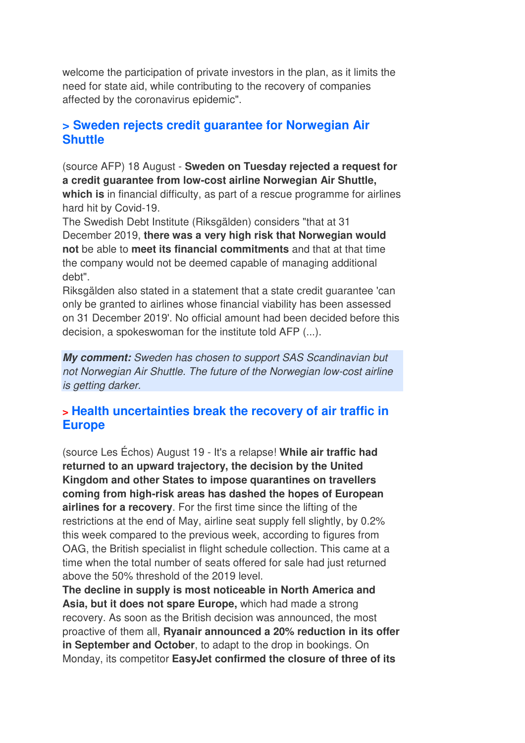welcome the participation of private investors in the plan, as it limits the need for state aid, while contributing to the recovery of companies affected by the coronavirus epidemic".

## **> Sweden rejects credit guarantee for Norwegian Air Shuttle**

(source AFP) 18 August - **Sweden on Tuesday rejected a request for a credit guarantee from low-cost airline Norwegian Air Shuttle, which is** in financial difficulty, as part of a rescue programme for airlines hard hit by Covid-19.

The Swedish Debt Institute (Riksgälden) considers "that at 31 December 2019, **there was a very high risk that Norwegian would not** be able to **meet its financial commitments** and that at that time the company would not be deemed capable of managing additional debt".

Riksgälden also stated in a statement that a state credit guarantee 'can only be granted to airlines whose financial viability has been assessed on 31 December 2019'. No official amount had been decided before this decision, a spokeswoman for the institute told AFP (...).

**My comment:** Sweden has chosen to support SAS Scandinavian but not Norwegian Air Shuttle. The future of the Norwegian low-cost airline is getting darker.

## **> Health uncertainties break the recovery of air traffic in Europe**

(source Les Échos) August 19 - It's a relapse! **While air traffic had returned to an upward trajectory, the decision by the United Kingdom and other States to impose quarantines on travellers coming from high-risk areas has dashed the hopes of European airlines for a recovery**. For the first time since the lifting of the restrictions at the end of May, airline seat supply fell slightly, by 0.2% this week compared to the previous week, according to figures from OAG, the British specialist in flight schedule collection. This came at a time when the total number of seats offered for sale had just returned above the 50% threshold of the 2019 level.

**The decline in supply is most noticeable in North America and Asia, but it does not spare Europe,** which had made a strong recovery. As soon as the British decision was announced, the most proactive of them all, **Ryanair announced a 20% reduction in its offer in September and October**, to adapt to the drop in bookings. On Monday, its competitor **EasyJet confirmed the closure of three of its**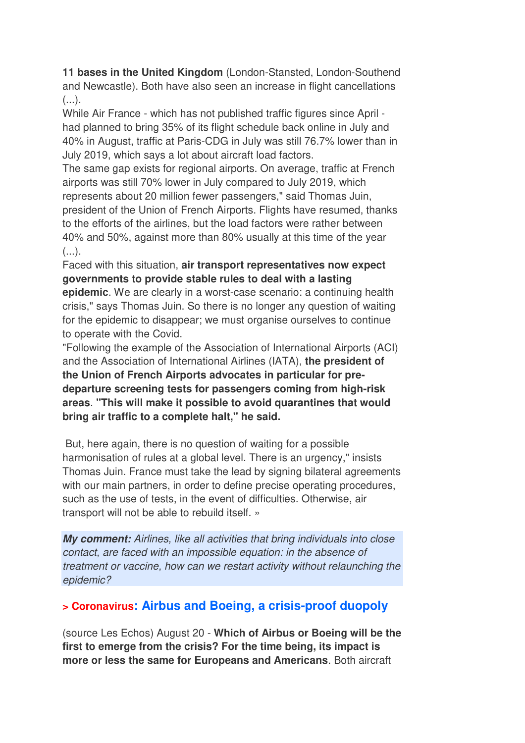**11 bases in the United Kingdom** (London-Stansted, London-Southend and Newcastle). Both have also seen an increase in flight cancellations  $(\ldots).$ 

While Air France - which has not published traffic figures since April had planned to bring 35% of its flight schedule back online in July and 40% in August, traffic at Paris-CDG in July was still 76.7% lower than in July 2019, which says a lot about aircraft load factors.

The same gap exists for regional airports. On average, traffic at French airports was still 70% lower in July compared to July 2019, which represents about 20 million fewer passengers," said Thomas Juin, president of the Union of French Airports. Flights have resumed, thanks to the efforts of the airlines, but the load factors were rather between 40% and 50%, against more than 80% usually at this time of the year  $(\ldots).$ 

Faced with this situation, **air transport representatives now expect governments to provide stable rules to deal with a lasting** 

**epidemic**. We are clearly in a worst-case scenario: a continuing health crisis," says Thomas Juin. So there is no longer any question of waiting for the epidemic to disappear; we must organise ourselves to continue to operate with the Covid.

"Following the example of the Association of International Airports (ACI) and the Association of International Airlines (IATA), **the president of the Union of French Airports advocates in particular for predeparture screening tests for passengers coming from high-risk areas**. **"This will make it possible to avoid quarantines that would bring air traffic to a complete halt," he said.** 

 But, here again, there is no question of waiting for a possible harmonisation of rules at a global level. There is an urgency," insists Thomas Juin. France must take the lead by signing bilateral agreements with our main partners, in order to define precise operating procedures, such as the use of tests, in the event of difficulties. Otherwise, air transport will not be able to rebuild itself. »

**My comment:** Airlines, like all activities that bring individuals into close contact, are faced with an impossible equation: in the absence of treatment or vaccine, how can we restart activity without relaunching the epidemic?

## **> Coronavirus: Airbus and Boeing, a crisis-proof duopoly**

(source Les Echos) August 20 - **Which of Airbus or Boeing will be the first to emerge from the crisis? For the time being, its impact is more or less the same for Europeans and Americans**. Both aircraft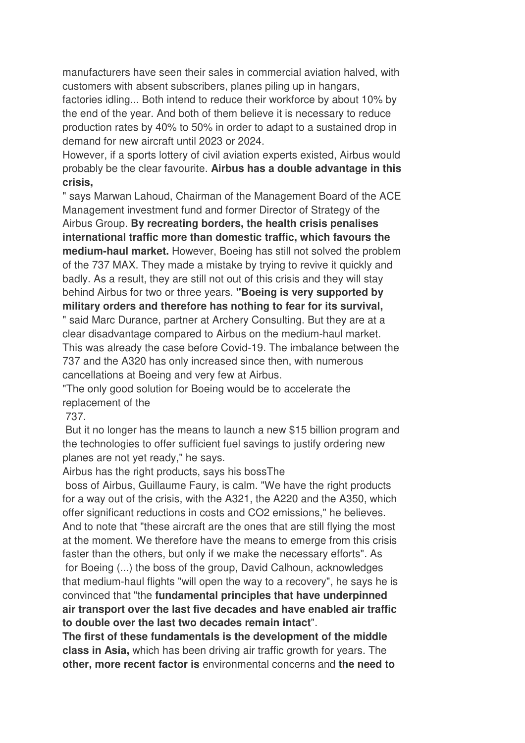manufacturers have seen their sales in commercial aviation halved, with customers with absent subscribers, planes piling up in hangars,

factories idling... Both intend to reduce their workforce by about 10% by the end of the year. And both of them believe it is necessary to reduce production rates by 40% to 50% in order to adapt to a sustained drop in demand for new aircraft until 2023 or 2024.

However, if a sports lottery of civil aviation experts existed, Airbus would probably be the clear favourite. **Airbus has a double advantage in this crisis,**

" says Marwan Lahoud, Chairman of the Management Board of the ACE Management investment fund and former Director of Strategy of the Airbus Group. **By recreating borders, the health crisis penalises international traffic more than domestic traffic, which favours the medium-haul market.** However, Boeing has still not solved the problem of the 737 MAX. They made a mistake by trying to revive it quickly and badly. As a result, they are still not out of this crisis and they will stay behind Airbus for two or three years. **"Boeing is very supported by military orders and therefore has nothing to fear for its survival,** " said Marc Durance, partner at Archery Consulting. But they are at a clear disadvantage compared to Airbus on the medium-haul market. This was already the case before Covid-19. The imbalance between the 737 and the A320 has only increased since then, with numerous cancellations at Boeing and very few at Airbus.

"The only good solution for Boeing would be to accelerate the replacement of the

737.

 But it no longer has the means to launch a new \$15 billion program and the technologies to offer sufficient fuel savings to justify ordering new planes are not yet ready," he says.

Airbus has the right products, says his bossThe

 boss of Airbus, Guillaume Faury, is calm. "We have the right products for a way out of the crisis, with the A321, the A220 and the A350, which offer significant reductions in costs and CO2 emissions," he believes. And to note that "these aircraft are the ones that are still flying the most at the moment. We therefore have the means to emerge from this crisis faster than the others, but only if we make the necessary efforts". As for Boeing (...) the boss of the group, David Calhoun, acknowledges that medium-haul flights "will open the way to a recovery", he says he is convinced that "the **fundamental principles that have underpinned air transport over the last five decades and have enabled air traffic to double over the last two decades remain intact**".

**The first of these fundamentals is the development of the middle class in Asia,** which has been driving air traffic growth for years. The **other, more recent factor is** environmental concerns and **the need to**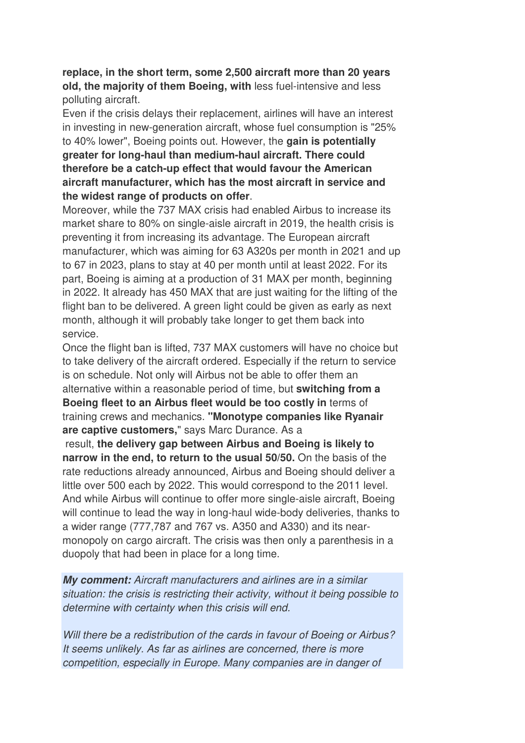### **replace, in the short term, some 2,500 aircraft more than 20 years old, the majority of them Boeing, with** less fuel-intensive and less polluting aircraft.

Even if the crisis delays their replacement, airlines will have an interest in investing in new-generation aircraft, whose fuel consumption is "25% to 40% lower", Boeing points out. However, the **gain is potentially greater for long-haul than medium-haul aircraft. There could therefore be a catch-up effect that would favour the American aircraft manufacturer, which has the most aircraft in service and the widest range of products on offer**.

Moreover, while the 737 MAX crisis had enabled Airbus to increase its market share to 80% on single-aisle aircraft in 2019, the health crisis is preventing it from increasing its advantage. The European aircraft manufacturer, which was aiming for 63 A320s per month in 2021 and up to 67 in 2023, plans to stay at 40 per month until at least 2022. For its part, Boeing is aiming at a production of 31 MAX per month, beginning in 2022. It already has 450 MAX that are just waiting for the lifting of the flight ban to be delivered. A green light could be given as early as next month, although it will probably take longer to get them back into service.

Once the flight ban is lifted, 737 MAX customers will have no choice but to take delivery of the aircraft ordered. Especially if the return to service is on schedule. Not only will Airbus not be able to offer them an alternative within a reasonable period of time, but **switching from a Boeing fleet to an Airbus fleet would be too costly in** terms of training crews and mechanics. **"Monotype companies like Ryanair are captive customers,**" says Marc Durance. As a

 result, **the delivery gap between Airbus and Boeing is likely to narrow in the end, to return to the usual 50/50.** On the basis of the rate reductions already announced, Airbus and Boeing should deliver a little over 500 each by 2022. This would correspond to the 2011 level. And while Airbus will continue to offer more single-aisle aircraft, Boeing will continue to lead the way in long-haul wide-body deliveries, thanks to a wider range (777,787 and 767 vs. A350 and A330) and its nearmonopoly on cargo aircraft. The crisis was then only a parenthesis in a duopoly that had been in place for a long time.

**My comment:** Aircraft manufacturers and airlines are in a similar situation: the crisis is restricting their activity, without it being possible to determine with certainty when this crisis will end.

Will there be a redistribution of the cards in favour of Boeing or Airbus? It seems unlikely. As far as airlines are concerned, there is more competition, especially in Europe. Many companies are in danger of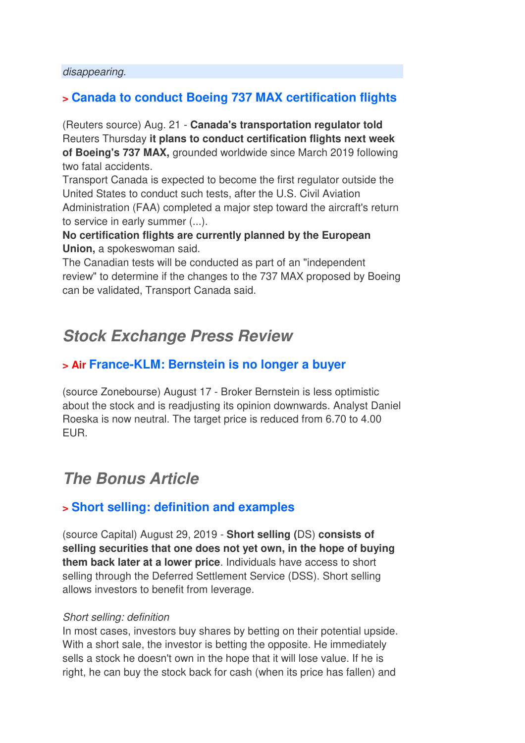#### disappearing.

## **> Canada to conduct Boeing 737 MAX certification flights**

(Reuters source) Aug. 21 - **Canada's transportation regulator told** Reuters Thursday **it plans to conduct certification flights next week of Boeing's 737 MAX,** grounded worldwide since March 2019 following two fatal accidents.

Transport Canada is expected to become the first regulator outside the United States to conduct such tests, after the U.S. Civil Aviation Administration (FAA) completed a major step toward the aircraft's return to service in early summer (...).

### **No certification flights are currently planned by the European Union,** a spokeswoman said.

The Canadian tests will be conducted as part of an "independent review" to determine if the changes to the 737 MAX proposed by Boeing can be validated, Transport Canada said.

## **Stock Exchange Press Review**

## **> Air France-KLM: Bernstein is no longer a buyer**

(source Zonebourse) August 17 - Broker Bernstein is less optimistic about the stock and is readjusting its opinion downwards. Analyst Daniel Roeska is now neutral. The target price is reduced from 6.70 to 4.00 EUR.

## **The Bonus Article**

### **> Short selling: definition and examples**

(source Capital) August 29, 2019 - **Short selling (**DS) **consists of selling securities that one does not yet own, in the hope of buying them back later at a lower price**. Individuals have access to short selling through the Deferred Settlement Service (DSS). Short selling allows investors to benefit from leverage.

#### Short selling: definition

In most cases, investors buy shares by betting on their potential upside. With a short sale, the investor is betting the opposite. He immediately sells a stock he doesn't own in the hope that it will lose value. If he is right, he can buy the stock back for cash (when its price has fallen) and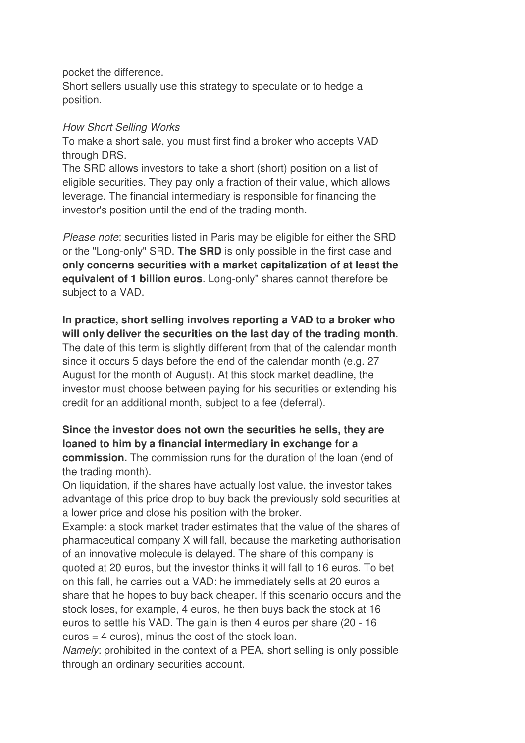pocket the difference.

Short sellers usually use this strategy to speculate or to hedge a position.

### How Short Selling Works

To make a short sale, you must first find a broker who accepts VAD through DRS.

The SRD allows investors to take a short (short) position on a list of eligible securities. They pay only a fraction of their value, which allows leverage. The financial intermediary is responsible for financing the investor's position until the end of the trading month.

Please note: securities listed in Paris may be eligible for either the SRD or the "Long-only" SRD. **The SRD** is only possible in the first case and **only concerns securities with a market capitalization of at least the equivalent of 1 billion euros**. Long-only" shares cannot therefore be subject to a VAD.

### **In practice, short selling involves reporting a VAD to a broker who will only deliver the securities on the last day of the trading month**.

The date of this term is slightly different from that of the calendar month since it occurs 5 days before the end of the calendar month (e.g. 27 August for the month of August). At this stock market deadline, the investor must choose between paying for his securities or extending his credit for an additional month, subject to a fee (deferral).

### **Since the investor does not own the securities he sells, they are loaned to him by a financial intermediary in exchange for a commission.** The commission runs for the duration of the loan (end of the trading month).

On liquidation, if the shares have actually lost value, the investor takes advantage of this price drop to buy back the previously sold securities at a lower price and close his position with the broker.

Example: a stock market trader estimates that the value of the shares of pharmaceutical company X will fall, because the marketing authorisation of an innovative molecule is delayed. The share of this company is quoted at 20 euros, but the investor thinks it will fall to 16 euros. To bet on this fall, he carries out a VAD: he immediately sells at 20 euros a share that he hopes to buy back cheaper. If this scenario occurs and the stock loses, for example, 4 euros, he then buys back the stock at 16 euros to settle his VAD. The gain is then 4 euros per share (20 - 16 euros = 4 euros), minus the cost of the stock loan.

Namely: prohibited in the context of a PEA, short selling is only possible through an ordinary securities account.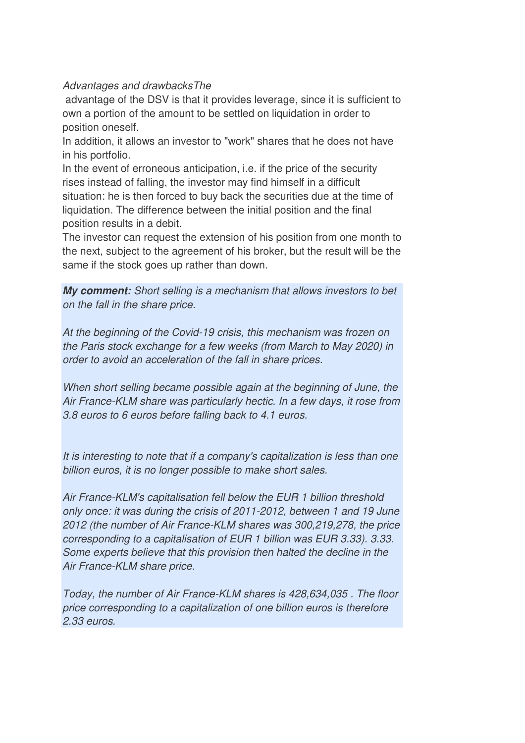### Advantages and drawbacksThe

advantage of the DSV is that it provides leverage, since it is sufficient to own a portion of the amount to be settled on liquidation in order to position oneself.

In addition, it allows an investor to "work" shares that he does not have in his portfolio.

In the event of erroneous anticipation, i.e. if the price of the security rises instead of falling, the investor may find himself in a difficult situation: he is then forced to buy back the securities due at the time of liquidation. The difference between the initial position and the final position results in a debit.

The investor can request the extension of his position from one month to the next, subject to the agreement of his broker, but the result will be the same if the stock goes up rather than down.

**My comment:** Short selling is a mechanism that allows investors to bet on the fall in the share price.

At the beginning of the Covid-19 crisis, this mechanism was frozen on the Paris stock exchange for a few weeks (from March to May 2020) in order to avoid an acceleration of the fall in share prices.

When short selling became possible again at the beginning of June, the Air France-KLM share was particularly hectic. In a few days, it rose from 3.8 euros to 6 euros before falling back to 4.1 euros.

It is interesting to note that if a company's capitalization is less than one billion euros, it is no longer possible to make short sales.

Air France-KLM's capitalisation fell below the EUR 1 billion threshold only once: it was during the crisis of 2011-2012, between 1 and 19 June 2012 (the number of Air France-KLM shares was 300,219,278, the price corresponding to a capitalisation of EUR 1 billion was EUR 3.33). 3.33. Some experts believe that this provision then halted the decline in the Air France-KLM share price.

Today, the number of Air France-KLM shares is 428,634,035 . The floor price corresponding to a capitalization of one billion euros is therefore 2.33 euros.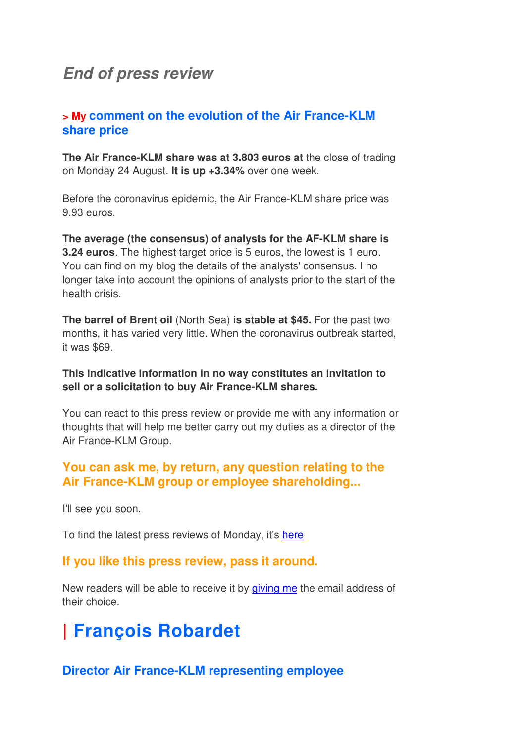## **End of press review**

### **> My comment on the evolution of the Air France-KLM share price**

**The Air France-KLM share was at 3.803 euros at** the close of trading on Monday 24 August. **It is up +3.34%** over one week.

Before the coronavirus epidemic, the Air France-KLM share price was 9.93 euros.

**The average (the consensus) of analysts for the AF-KLM share is 3.24 euros**. The highest target price is 5 euros, the lowest is 1 euro. You can find on my blog the details of the analysts' consensus. I no longer take into account the opinions of analysts prior to the start of the health crisis.

**The barrel of Brent oil** (North Sea) **is stable at \$45.** For the past two months, it has varied very little. When the coronavirus outbreak started, it was \$69.

### **This indicative information in no way constitutes an invitation to sell or a solicitation to buy Air France-KLM shares.**

You can react to this press review or provide me with any information or thoughts that will help me better carry out my duties as a director of the Air France-KLM Group.

## **You can ask me, by return, any question relating to the Air France-KLM group or employee shareholding...**

I'll see you soon.

To find the latest press reviews of Monday, it's here

### **If you like this press review, pass it around.**

New readers will be able to receive it by giving me the email address of their choice.

# **| François Robardet**

### **Director Air France-KLM representing employee**